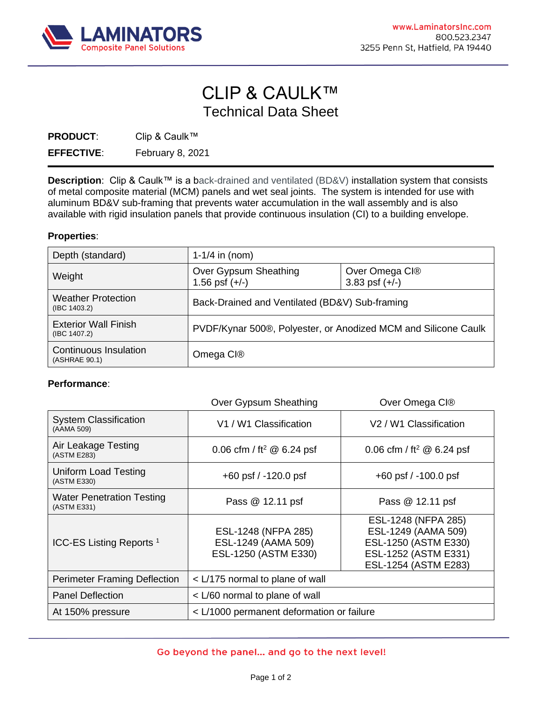

## CLIP & CAULK™ Technical Data Sheet

**PRODUCT**: Clip & Caulk™

**EFFECTIVE**: February 8, 2021

**Description**: Clip & Caulk™ is a back-drained and ventilated (BD&V) installation system that consists of metal composite material (MCM) panels and wet seal joints. The system is intended for use with aluminum BD&V sub-framing that prevents water accumulation in the wall assembly and is also available with rigid insulation panels that provide continuous insulation (CI) to a building envelope.

## **Properties**:

| Depth (standard)                                | 1-1/4 in $(nom)$                                               |                                    |
|-------------------------------------------------|----------------------------------------------------------------|------------------------------------|
| Weight                                          | Over Gypsum Sheathing<br>1.56 psf $(+/-)$                      | Over Omega CI®<br>3.83 psf $(+/-)$ |
| <b>Weather Protection</b><br>$($ IBC 1403.2 $)$ | Back-Drained and Ventilated (BD&V) Sub-framing                 |                                    |
| <b>Exterior Wall Finish</b><br>(IBC 1407.2)     | PVDF/Kynar 500®, Polyester, or Anodized MCM and Silicone Caulk |                                    |
| Continuous Insulation<br>(ASHRAE 90.1)          | Omega CI <sup>®</sup>                                          |                                    |

## **Performance**:

|                                                 | Over Gypsum Sheathing                                              | Over Omega CI®                                                                                                     |
|-------------------------------------------------|--------------------------------------------------------------------|--------------------------------------------------------------------------------------------------------------------|
| <b>System Classification</b><br>(AAMA 509)      | V1 / W1 Classification                                             | V <sub>2</sub> / W <sub>1</sub> Classification                                                                     |
| Air Leakage Testing<br>(ASTM E283)              | 0.06 cfm / ft <sup>2</sup> @ 6.24 psf                              | 0.06 cfm / ft <sup>2</sup> @ 6.24 psf                                                                              |
| Uniform Load Testing<br>(ASTM E330)             | $+60$ psf $/ -120.0$ psf                                           | $+60$ psf $/ -100.0$ psf                                                                                           |
| <b>Water Penetration Testing</b><br>(ASTM E331) | Pass @ 12.11 psf                                                   | Pass @ 12.11 psf                                                                                                   |
| ICC-ES Listing Reports <sup>1</sup>             | ESL-1248 (NFPA 285)<br>ESL-1249 (AAMA 509)<br>ESL-1250 (ASTM E330) | ESL-1248 (NFPA 285)<br>ESL-1249 (AAMA 509)<br>ESL-1250 (ASTM E330)<br>ESL-1252 (ASTM E331)<br>ESL-1254 (ASTM E283) |
| Perimeter Framing Deflection                    | < L/175 normal to plane of wall                                    |                                                                                                                    |
| <b>Panel Deflection</b>                         | < L/60 normal to plane of wall                                     |                                                                                                                    |
| At 150% pressure                                | < L/1000 permanent deformation or failure                          |                                                                                                                    |

## Go beyond the panel... and go to the next level!